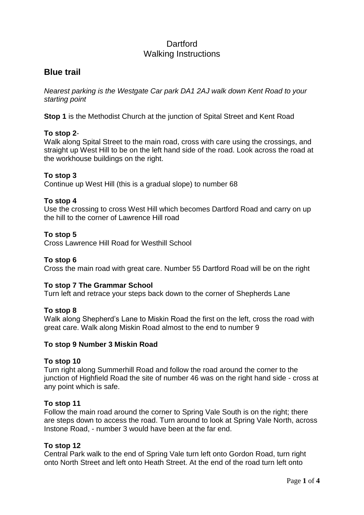# **Dartford** Walking Instructions

# **Blue trail**

*Nearest parking is the Westgate Car park DA1 2AJ walk down Kent Road to your starting point* 

**Stop 1** is the Methodist Church at the junction of Spital Street and Kent Road

# **To stop 2**-

Walk along Spital Street to the main road, cross with care using the crossings, and straight up West Hill to be on the left hand side of the road. Look across the road at the workhouse buildings on the right.

# **To stop 3**

Continue up West Hill (this is a gradual slope) to number 68

# **To stop 4**

Use the crossing to cross West Hill which becomes Dartford Road and carry on up the hill to the corner of Lawrence Hill road

# **To stop 5**

Cross Lawrence Hill Road for Westhill School

# **To stop 6**

Cross the main road with great care. Number 55 Dartford Road will be on the right

# **To stop 7 The Grammar School**

Turn left and retrace your steps back down to the corner of Shepherds Lane

# **To stop 8**

Walk along Shepherd's Lane to Miskin Road the first on the left, cross the road with great care. Walk along Miskin Road almost to the end to number 9

# **To stop 9 Number 3 Miskin Road**

# **To stop 10**

Turn right along Summerhill Road and follow the road around the corner to the junction of Highfield Road the site of number 46 was on the right hand side - cross at any point which is safe.

# **To stop 11**

Follow the main road around the corner to Spring Vale South is on the right; there are steps down to access the road. Turn around to look at Spring Vale North, across Instone Road, - number 3 would have been at the far end.

# **To stop 12**

Central Park walk to the end of Spring Vale turn left onto Gordon Road, turn right onto North Street and left onto Heath Street. At the end of the road turn left onto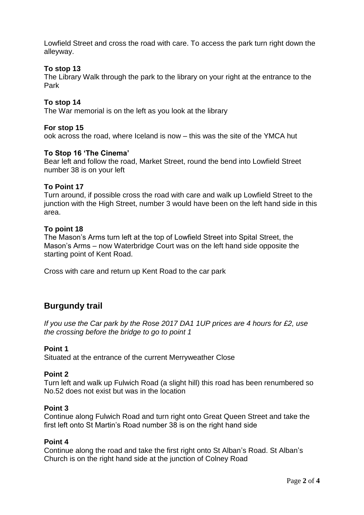Lowfield Street and cross the road with care. To access the park turn right down the alleyway.

### **To stop 13**

The Library Walk through the park to the library on your right at the entrance to the Park

### **To stop 14**

The War memorial is on the left as you look at the library

### **For stop 15**

ook across the road, where Iceland is now – this was the site of the YMCA hut

#### **To Stop 16 'The Cinema'**

Bear left and follow the road, Market Street, round the bend into Lowfield Street number 38 is on your left

### **To Point 17**

Turn around, if possible cross the road with care and walk up Lowfield Street to the junction with the High Street, number 3 would have been on the left hand side in this area.

#### **To point 18**

The Mason's Arms turn left at the top of Lowfield Street into Spital Street, the Mason's Arms – now Waterbridge Court was on the left hand side opposite the starting point of Kent Road.

Cross with care and return up Kent Road to the car park

# **Burgundy trail**

*If you use the Car park by the Rose 2017 DA1 1UP prices are 4 hours for £2, use the crossing before the bridge to go to point 1*

#### **Point 1**

Situated at the entrance of the current Merryweather Close

#### **Point 2**

Turn left and walk up Fulwich Road (a slight hill) this road has been renumbered so No.52 does not exist but was in the location

#### **Point 3**

Continue along Fulwich Road and turn right onto Great Queen Street and take the first left onto St Martin's Road number 38 is on the right hand side

#### **Point 4**

Continue along the road and take the first right onto St Alban's Road. St Alban's Church is on the right hand side at the junction of Colney Road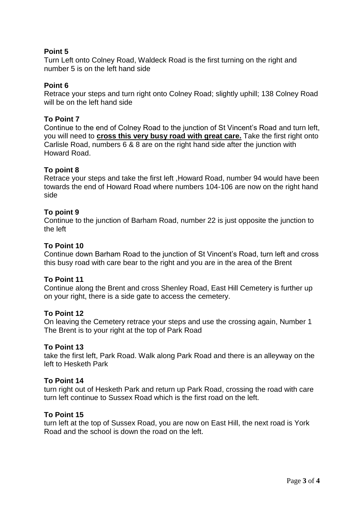# **Point 5**

Turn Left onto Colney Road, Waldeck Road is the first turning on the right and number 5 is on the left hand side

# **Point 6**

Retrace your steps and turn right onto Colney Road; slightly uphill; 138 Colney Road will be on the left hand side

### **To Point 7**

Continue to the end of Colney Road to the junction of St Vincent's Road and turn left, you will need to **cross this very busy road with great care.** Take the first right onto Carlisle Road, numbers 6 & 8 are on the right hand side after the junction with Howard Road.

### **To point 8**

Retrace your steps and take the first left ,Howard Road, number 94 would have been towards the end of Howard Road where numbers 104-106 are now on the right hand side

### **To point 9**

Continue to the junction of Barham Road, number 22 is just opposite the junction to the left

### **To Point 10**

Continue down Barham Road to the junction of St Vincent's Road, turn left and cross this busy road with care bear to the right and you are in the area of the Brent

### **To Point 11**

Continue along the Brent and cross Shenley Road, East Hill Cemetery is further up on your right, there is a side gate to access the cemetery.

### **To Point 12**

On leaving the Cemetery retrace your steps and use the crossing again, Number 1 The Brent is to your right at the top of Park Road

### **To Point 13**

take the first left, Park Road. Walk along Park Road and there is an alleyway on the left to Hesketh Park

### **To Point 14**

turn right out of Hesketh Park and return up Park Road, crossing the road with care turn left continue to Sussex Road which is the first road on the left.

### **To Point 15**

turn left at the top of Sussex Road, you are now on East Hill, the next road is York Road and the school is down the road on the left.